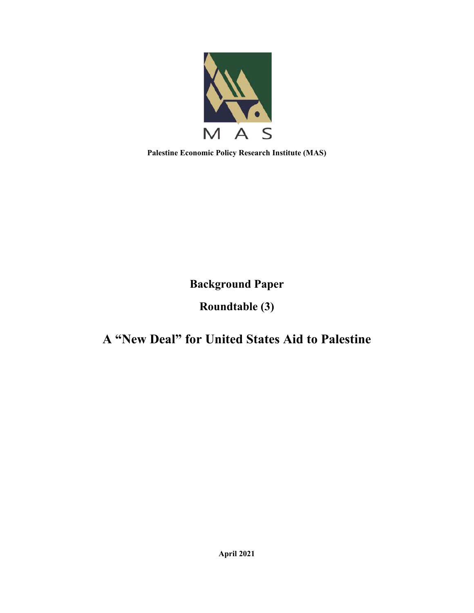

**Palestine Economic Policy Research Institute (MAS)** 

**Background Paper** 

# **Roundtable (3)**

# **A "New Deal" for United States Aid to Palestine**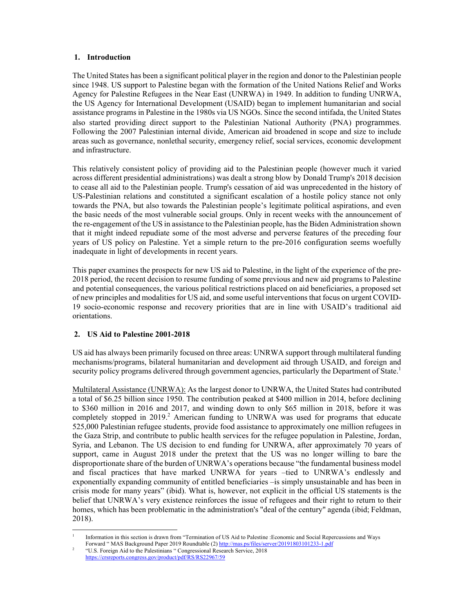# **1. Introduction**

The United States has been a significant political player in the region and donor to the Palestinian people since 1948. US support to Palestine began with the formation of the United Nations Relief and Works Agency for Palestine Refugees in the Near East (UNRWA) in 1949. In addition to funding UNRWA, the US Agency for International Development (USAID) began to implement humanitarian and social assistance programs in Palestine in the 1980s via US NGOs. Since the second intifada, the United States also started providing direct support to the Palestinian National Authority (PNA) programmes. Following the 2007 Palestinian internal divide, American aid broadened in scope and size to include areas such as governance, nonlethal security, emergency relief, social services, economic development and infrastructure.

This relatively consistent policy of providing aid to the Palestinian people (however much it varied across different presidential administrations) was dealt a strong blow by Donald Trump's 2018 decision to cease all aid to the Palestinian people. Trump's cessation of aid was unprecedented in the history of US-Palestinian relations and constituted a significant escalation of a hostile policy stance not only towards the PNA, but also towards the Palestinian people's legitimate political aspirations, and even the basic needs of the most vulnerable social groups. Only in recent weeks with the announcement of the re-engagement of the US in assistance to the Palestinian people, has the Biden Administration shown that it might indeed repudiate some of the most adverse and perverse features of the preceding four years of US policy on Palestine. Yet a simple return to the pre-2016 configuration seems woefully inadequate in light of developments in recent years.

This paper examines the prospects for new US aid to Palestine, in the light of the experience of the pre-2018 period, the recent decision to resume funding of some previous and new aid programs to Palestine and potential consequences, the various political restrictions placed on aid beneficiaries, a proposed set of new principles and modalities for US aid, and some useful interventions that focus on urgent COVID-19 socio-economic response and recovery priorities that are in line with USAID's traditional aid orientations.

# **2. US Aid to Palestine 2001-2018**

US aid has always been primarily focused on three areas: UNRWA support through multilateral funding mechanisms/programs, bilateral humanitarian and development aid through USAID, and foreign and security policy programs delivered through government agencies, particularly the Department of State.<sup>1</sup>

Multilateral Assistance (UNRWA): As the largest donor to UNRWA, the United States had contributed a total of \$6.25 billion since 1950. The contribution peaked at \$400 million in 2014, before declining to \$360 million in 2016 and 2017, and winding down to only \$65 million in 2018, before it was completely stopped in 2019.<sup>2</sup> American funding to UNRWA was used for programs that educate 525,000 Palestinian refugee students, provide food assistance to approximately one million refugees in the Gaza Strip, and contribute to public health services for the refugee population in Palestine, Jordan, Syria, and Lebanon. The US decision to end funding for UNRWA, after approximately 70 years of support, came in August 2018 under the pretext that the US was no longer willing to bare the disproportionate share of the burden of UNRWA's operations because "the fundamental business model and fiscal practices that have marked UNRWA for years –tied to UNRWA's endlessly and exponentially expanding community of entitled beneficiaries –is simply unsustainable and has been in crisis mode for many years" (ibid). What is, however, not explicit in the official US statements is the belief that UNRWA's very existence reinforces the issue of refugees and their right to return to their homes, which has been problematic in the administration's "deal of the century" agenda (ibid; Feldman, 2018).

<sup>1</sup> Information in this section is drawn from "Termination of US Aid to Palestine :Economic and Social Repercussions and Ways Forward " MAS Background Paper 2019 Roundtable (2) http://mas.ps/files/server/20191803101233-1.pdf 2

 <sup>&</sup>quot;U.S. Foreign Aid to the Palestinians " Congressional Research Service, 2018 https://crsreports.congress.gov/product/pdf/RS/RS22967/59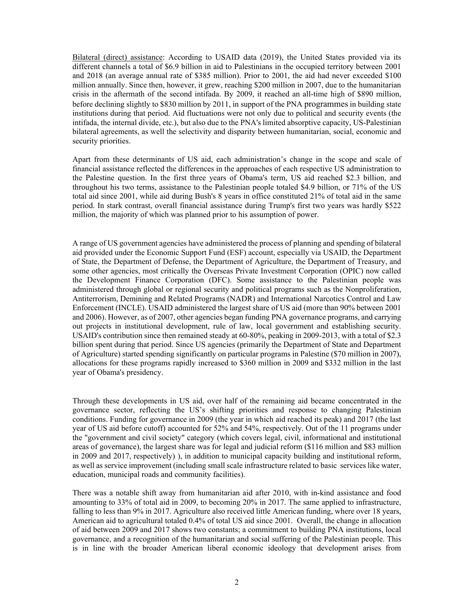Bilateral (direct) assistance: According to USAID data (2019), the United States provided via its different channels a total of \$6.9 billion in aid to Palestinians in the occupied territory between 2001 and 2018 (an average annual rate of \$385 million). Prior to 2001, the aid had never exceeded \$100 million annually. Since then, however, it grew, reaching \$200 million in 2007, due to the humanitarian crisis in the aftermath of the second intifada. By 2009, it reached an all-time high of \$890 million, before declining slightly to \$830 million by 2011, in support of the PNA programmes in building state institutions during that period. Aid fluctuations were not only due to political and security events (the intifada, the internal divide, etc.), but also due to the PNA's limited absorptive capacity, US-Palestinian bilateral agreements, as well the selectivity and disparity between humanitarian, social, economic and security priorities.

Apart from these determinants of US aid, each administration's change in the scope and scale of financial assistance reflected the differences in the approaches of each respective US administration to the Palestine question. In the first three years of Obama's term, US aid reached \$2.3 billion, and throughout his two terms, assistance to the Palestinian people totaled \$4.9 billion, or 71% of the US total aid since 2001, while aid during Bush's 8 years in office constituted 21% of total aid in the same period. In stark contrast, overall financial assistance during Trump's first two years was hardly \$522 million, the majority of which was planned prior to his assumption of power.

A range of US government agencies have administered the process of planning and spending of bilateral aid provided under the Economic Support Fund (ESF) account, especially via USAID, the Department of State, the Department of Defense, the Department of Agriculture, the Department of Treasury, and some other agencies, most critically the Overseas Private Investment Corporation (OPIC) now called the Development Finance Corporation (DFC). Some assistance to the Palestinian people was administered through global or regional security and political programs such as the Nonproliferation, Antiterrorism, Demining and Related Programs (NADR) and International Narcotics Control and Law Enforcement (INCLE). USAID administered the largest share of US aid (more than 90% between 2001 and 2006). However, as of 2007, other agencies began funding PNA governance programs, and carrying out projects in institutional development, rule of law, local government and establishing security. USAID's contribution since then remained steady at 60-80%, peaking in 2009-2013, with a total of \$2.3 billion spent during that period. Since US agencies (primarily the Department of State and Department of Agriculture) started spending significantly on particular programs in Palestine (\$70 million in 2007), allocations for these programs rapidly increased to \$360 million in 2009 and \$332 million in the last year of Obama's presidency.

Through these developments in US aid, over half of the remaining aid became concentrated in the governance sector, reflecting the US's shifting priorities and response to changing Palestinian conditions. Funding for governance in 2009 (the year in which aid reached its peak) and 2017 (the last year of US aid before cutoff) accounted for 52% and 54%, respectively. Out of the 11 programs under the "government and civil society" category (which covers legal, civil, informational and institutional areas of governance), the largest share was for legal and judicial reform (\$116 million and \$83 million in 2009 and 2017, respectively) ), in addition to municipal capacity building and institutional reform, as well as service improvement (including small scale infrastructure related to basic services like water, education, municipal roads and community facilities).

There was a notable shift away from humanitarian aid after 2010, with in-kind assistance and food amounting to 33% of total aid in 2009, to becoming 20% in 2017. The same applied to infrastructure, falling to less than 9% in 2017. Agriculture also received little American funding, where over 18 years, American aid to agricultural totaled 0.4% of total US aid since 2001. Overall, the change in allocation of aid between 2009 and 2017 shows two constants; a commitment to building PNA institutions, local governance, and a recognition of the humanitarian and social suffering of the Palestinian people. This is in line with the broader American liberal economic ideology that development arises from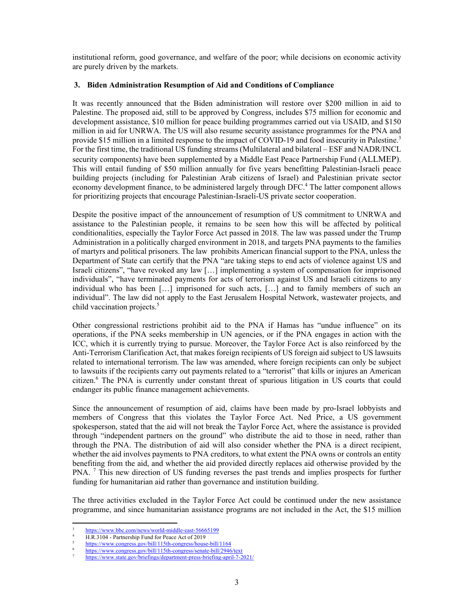institutional reform, good governance, and welfare of the poor; while decisions on economic activity are purely driven by the markets.

## **3. Biden Administration Resumption of Aid and Conditions of Compliance**

It was recently announced that the Biden administration will restore over \$200 million in aid to Palestine. The proposed aid, still to be approved by Congress, includes \$75 million for economic and development assistance, \$10 million for peace building programmes carried out via USAID, and \$150 million in aid for UNRWA. The US will also resume security assistance programmes for the PNA and provide \$15 million in a limited response to the impact of COVID-19 and food insecurity in Palestine.<sup>3</sup> For the first time, the traditional US funding streams (Multilateral and bilateral – ESF and NADR/INCL security components) have been supplemented by a Middle East Peace Partnership Fund (ALLMEP). This will entail funding of \$50 million annually for five years benefitting Palestinian-Israeli peace building projects (including for Palestinian Arab citizens of Israel) and Palestinian private sector economy development finance, to be administered largely through DFC.<sup>4</sup> The latter component allows for prioritizing projects that encourage Palestinian-Israeli-US private sector cooperation.

Despite the positive impact of the announcement of resumption of US commitment to UNRWA and assistance to the Palestinian people, it remains to be seen how this will be affected by political conditionalities, especially the Taylor Force Act passed in 2018. The law was passed under the Trump Administration in a politically charged environment in 2018, and targets PNA payments to the families of martyrs and political prisoners. The law prohibits American financial support to the PNA, unless the Department of State can certify that the PNA "are taking steps to end acts of violence against US and Israeli citizens", "have revoked any law […] implementing a system of compensation for imprisoned individuals", "have terminated payments for acts of terrorism against US and Israeli citizens to any individual who has been […] imprisoned for such acts, […] and to family members of such an individual". The law did not apply to the East Jerusalem Hospital Network, wastewater projects, and child vaccination projects.<sup>5</sup>

Other congressional restrictions prohibit aid to the PNA if Hamas has "undue influence" on its operations, if the PNA seeks membership in UN agencies, or if the PNA engages in action with the ICC, which it is currently trying to pursue. Moreover, the Taylor Force Act is also reinforced by the Anti-Terrorism Clarification Act, that makes foreign recipients of US foreign aid subject to US lawsuits related to international terrorism. The law was amended, where foreign recipients can only be subject to lawsuits if the recipients carry out payments related to a "terrorist" that kills or injures an American citizen.<sup>6</sup> The PNA is currently under constant threat of spurious litigation in US courts that could endanger its public finance management achievements.

Since the announcement of resumption of aid, claims have been made by pro-Israel lobbyists and members of Congress that this violates the Taylor Force Act. Ned Price, a US government spokesperson, stated that the aid will not break the Taylor Force Act, where the assistance is provided through "independent partners on the ground" who distribute the aid to those in need, rather than through the PNA. The distribution of aid will also consider whether the PNA is a direct recipient, whether the aid involves payments to PNA creditors, to what extent the PNA owns or controls an entity benefiting from the aid, and whether the aid provided directly replaces aid otherwise provided by the PNA.<sup>7</sup> This new direction of US funding reverses the past trends and implies prospects for further funding for humanitarian aid rather than governance and institution building.

The three activities excluded in the Taylor Force Act could be continued under the new assistance programme, and since humanitarian assistance programs are not included in the Act, the \$15 million

<sup>3</sup> https://www.bbc.com/news/world-middle-east-56665199

H.R.3104 - Partnership Fund for Peace Act of 2019<br>https://www.congress.gov/bill/115th-congress/house-bill/1164

<sup>5</sup>  $\frac{\text{https://www.congress.gov/bill/115th-congress/house-bill/1164}}{\text{https://www.congress.gov/bill/115th-congress/house-bill/1164}}$ 

 $\frac{\text{https://www.congress.gov/bill/115th-congress/senate-bill/2946/text}}{\text{https://www.congress.gov/bill/115th-congress/senate-bill/2946/text}}$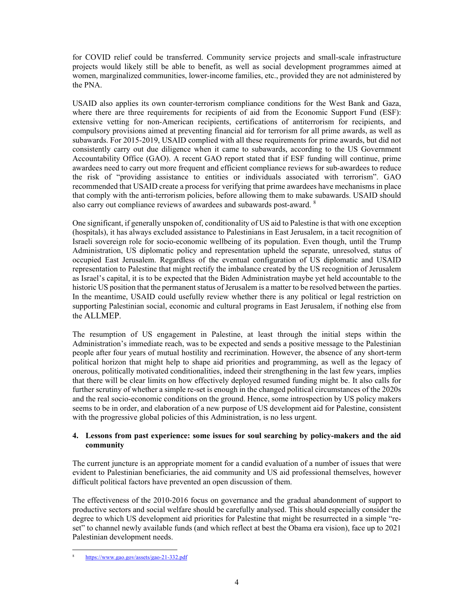for COVID relief could be transferred. Community service projects and small-scale infrastructure projects would likely still be able to benefit, as well as social development programmes aimed at women, marginalized communities, lower-income families, etc., provided they are not administered by the PNA.

USAID also applies its own counter-terrorism compliance conditions for the West Bank and Gaza, where there are three requirements for recipients of aid from the Economic Support Fund (ESF): extensive vetting for non-American recipients, certifications of antiterrorism for recipients, and compulsory provisions aimed at preventing financial aid for terrorism for all prime awards, as well as subawards. For 2015-2019, USAID complied with all these requirements for prime awards, but did not consistently carry out due diligence when it came to subawards, according to the US Government Accountability Office (GAO). A recent GAO report stated that if ESF funding will continue, prime awardees need to carry out more frequent and efficient compliance reviews for sub-awardees to reduce the risk of "providing assistance to entities or individuals associated with terrorism". GAO recommended that USAID create a process for verifying that prime awardees have mechanisms in place that comply with the anti-terrorism policies, before allowing them to make subawards. USAID should also carry out compliance reviews of awardees and subawards post-award. <sup>8</sup>

One significant, if generally unspoken of, conditionality of US aid to Palestine is that with one exception (hospitals), it has always excluded assistance to Palestinians in East Jerusalem, in a tacit recognition of Israeli sovereign role for socio-economic wellbeing of its population. Even though, until the Trump Administration, US diplomatic policy and representation upheld the separate, unresolved, status of occupied East Jerusalem. Regardless of the eventual configuration of US diplomatic and USAID representation to Palestine that might rectify the imbalance created by the US recognition of Jerusalem as Israel's capital, it is to be expected that the Biden Administration maybe yet held accountable to the historic US position that the permanent status of Jerusalem is a matter to be resolved between the parties. In the meantime, USAID could usefully review whether there is any political or legal restriction on supporting Palestinian social, economic and cultural programs in East Jerusalem, if nothing else from the ALLMEP.

The resumption of US engagement in Palestine, at least through the initial steps within the Administration's immediate reach, was to be expected and sends a positive message to the Palestinian people after four years of mutual hostility and recrimination. However, the absence of any short-term political horizon that might help to shape aid priorities and programming, as well as the legacy of onerous, politically motivated conditionalities, indeed their strengthening in the last few years, implies that there will be clear limits on how effectively deployed resumed funding might be. It also calls for further scrutiny of whether a simple re-set is enough in the changed political circumstances of the 2020s and the real socio-economic conditions on the ground. Hence, some introspection by US policy makers seems to be in order, and elaboration of a new purpose of US development aid for Palestine, consistent with the progressive global policies of this Administration, is no less urgent.

# **4. Lessons from past experience: some issues for soul searching by policy-makers and the aid community**

The current juncture is an appropriate moment for a candid evaluation of a number of issues that were evident to Palestinian beneficiaries, the aid community and US aid professional themselves, however difficult political factors have prevented an open discussion of them.

The effectiveness of the 2010-2016 focus on governance and the gradual abandonment of support to productive sectors and social welfare should be carefully analysed. This should especially consider the degree to which US development aid priorities for Palestine that might be resurrected in a simple "reset" to channel newly available funds (and which reflect at best the Obama era vision), face up to 2021 Palestinian development needs.

<sup>8</sup> https://www.gao.gov/assets/gao-21-332.pdf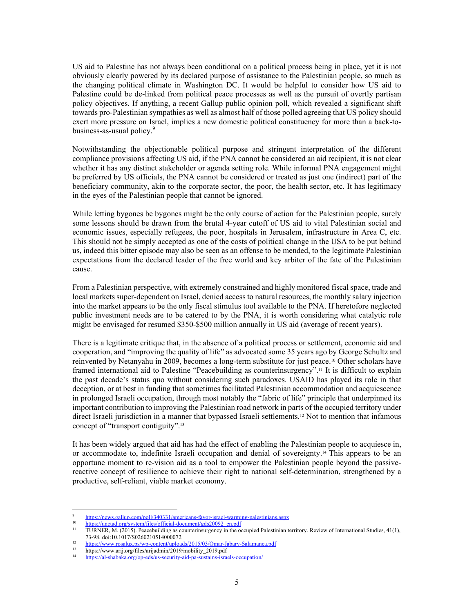US aid to Palestine has not always been conditional on a political process being in place, yet it is not obviously clearly powered by its declared purpose of assistance to the Palestinian people, so much as the changing political climate in Washington DC. It would be helpful to consider how US aid to Palestine could be de-linked from political peace processes as well as the pursuit of overtly partisan policy objectives. If anything, a recent Gallup public opinion poll, which revealed a significant shift towards pro-Palestinian sympathies as well as almost half of those polled agreeing that US policy should exert more pressure on Israel, implies a new domestic political constituency for more than a back-tobusiness-as-usual policy.<sup>9</sup>

Notwithstanding the objectionable political purpose and stringent interpretation of the different compliance provisions affecting US aid, if the PNA cannot be considered an aid recipient, it is not clear whether it has any distinct stakeholder or agenda setting role. While informal PNA engagement might be preferred by US officials, the PNA cannot be considered or treated as just one (indirect) part of the beneficiary community, akin to the corporate sector, the poor, the health sector, etc. It has legitimacy in the eyes of the Palestinian people that cannot be ignored.

While letting bygones be bygones might be the only course of action for the Palestinian people, surely some lessons should be drawn from the brutal 4-year cutoff of US aid to vital Palestinian social and economic issues, especially refugees, the poor, hospitals in Jerusalem, infrastructure in Area C, etc. This should not be simply accepted as one of the costs of political change in the USA to be put behind us, indeed this bitter episode may also be seen as an offense to be mended, to the legitimate Palestinian expectations from the declared leader of the free world and key arbiter of the fate of the Palestinian cause.

From a Palestinian perspective, with extremely constrained and highly monitored fiscal space, trade and local markets super-dependent on Israel, denied access to natural resources, the monthly salary injection into the market appears to be the only fiscal stimulus tool available to the PNA. If heretofore neglected public investment needs are to be catered to by the PNA, it is worth considering what catalytic role might be envisaged for resumed \$350-\$500 million annually in US aid (average of recent years).

There is a legitimate critique that, in the absence of a political process or settlement, economic aid and cooperation, and "improving the quality of life" as advocated some 35 years ago by George Schultz and reinvented by Netanyahu in 2009, becomes a long-term substitute for just peace.10 Other scholars have framed international aid to Palestine "Peacebuilding as counterinsurgency".11 It is difficult to explain the past decade's status quo without considering such paradoxes. USAID has played its role in that deception, or at best in funding that sometimes facilitated Palestinian accommodation and acquiescence in prolonged Israeli occupation, through most notably the "fabric of life" principle that underpinned its important contribution to improving the Palestinian road network in parts of the occupied territory under direct Israeli jurisdiction in a manner that bypassed Israeli settlements.<sup>12</sup> Not to mention that infamous concept of "transport contiguity".<sup>13</sup>

It has been widely argued that aid has had the effect of enabling the Palestinian people to acquiesce in, or accommodate to, indefinite Israeli occupation and denial of sovereignty.14 This appears to be an opportune moment to re-vision aid as a tool to empower the Palestinian people beyond the passivereactive concept of resilience to achieve their right to national self-determination, strengthened by a productive, self-reliant, viable market economy.

<sup>9</sup>

https://news.gallup.com/poll/340331/americans-favor-israel-warming-palestinians.aspx<br>
10 https://unctad.org/system/files/official-document/gds20092\_en.pdf<br>
11 TURNER, M. (2015). Peacebuilding as counterinsurgency in the oc

<sup>73-98.</sup> doi:10.1017/S0260210514000072 12 https://www.rosalux.ps/wp-content/uploads/2015/03/Omar-Jabary-Salamanca.pdf 13 https://www.arij.org/files/arijadmin/2019/mobility\_2019.pdf

<sup>14</sup> https://al-shabaka.org/op-eds/us-security-aid-pa-sustains-israels-occupation/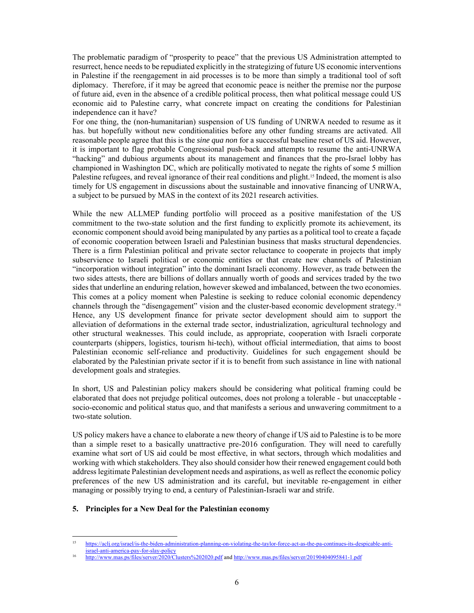The problematic paradigm of "prosperity to peace" that the previous US Administration attempted to resurrect, hence needs to be repudiated explicitly in the strategizing of future US economic interventions in Palestine if the reengagement in aid processes is to be more than simply a traditional tool of soft diplomacy. Therefore, if it may be agreed that economic peace is neither the premise nor the purpose of future aid, even in the absence of a credible political process, then what political message could US economic aid to Palestine carry, what concrete impact on creating the conditions for Palestinian independence can it have?

For one thing, the (non-humanitarian) suspension of US funding of UNRWA needed to resume as it has. but hopefully without new conditionalities before any other funding streams are activated. All reasonable people agree that this is the *sine qua non* for a successful baseline reset of US aid. However, it is important to flag probable Congressional push-back and attempts to resume the anti-UNRWA "hacking" and dubious arguments about its management and finances that the pro-Israel lobby has championed in Washington DC, which are politically motivated to negate the rights of some 5 million Palestine refugees, and reveal ignorance of their real conditions and plight.<sup>15</sup> Indeed, the moment is also timely for US engagement in discussions about the sustainable and innovative financing of UNRWA, a subject to be pursued by MAS in the context of its 2021 research activities.

While the new ALLMEP funding portfolio will proceed as a positive manifestation of the US commitment to the two-state solution and the first funding to explicitly promote its achievement, its economic component should avoid being manipulated by any parties as a political tool to create a façade of economic cooperation between Israeli and Palestinian business that masks structural dependencies. There is a firm Palestinian political and private sector reluctance to cooperate in projects that imply subservience to Israeli political or economic entities or that create new channels of Palestinian "incorporation without integration" into the dominant Israeli economy. However, as trade between the two sides attests, there are billions of dollars annually worth of goods and services traded by the two sides that underline an enduring relation, however skewed and imbalanced, between the two economies. This comes at a policy moment when Palestine is seeking to reduce colonial economic dependency channels through the "disengagement" vision and the cluster-based economic development strategy.16 Hence, any US development finance for private sector development should aim to support the alleviation of deformations in the external trade sector, industrialization, agricultural technology and other structural weaknesses. This could include, as appropriate, cooperation with Israeli corporate counterparts (shippers, logistics, tourism hi-tech), without official intermediation, that aims to boost Palestinian economic self-reliance and productivity. Guidelines for such engagement should be elaborated by the Palestinian private sector if it is to benefit from such assistance in line with national development goals and strategies.

In short, US and Palestinian policy makers should be considering what political framing could be elaborated that does not prejudge political outcomes, does not prolong a tolerable - but unacceptable socio-economic and political status quo, and that manifests a serious and unwavering commitment to a two-state solution.

US policy makers have a chance to elaborate a new theory of change if US aid to Palestine is to be more than a simple reset to a basically unattractive pre-2016 configuration. They will need to carefully examine what sort of US aid could be most effective, in what sectors, through which modalities and working with which stakeholders. They also should consider how their renewed engagement could both address legitimate Palestinian development needs and aspirations, as well as reflect the economic policy preferences of the new US administration and its careful, but inevitable re-engagement in either managing or possibly trying to end, a century of Palestinian-Israeli war and strife.

# **5. Principles for a New Deal for the Palestinian economy**

<sup>15</sup> https://aclj.org/israel/is-the-biden-administration-planning-on-violating-the-taylor-force-act-as-the-pa-continues-its-despicable-anti-

israel-anti-america-pay-for-slay-policy 16 http://www.mas.ps/files/server/2020/Clusters%202020.pdf and http://www.mas.ps/files/server/20190404095841-1.pdf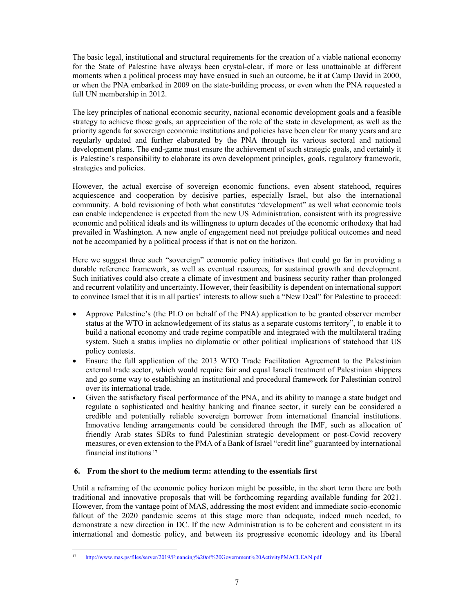The basic legal, institutional and structural requirements for the creation of a viable national economy for the State of Palestine have always been crystal-clear, if more or less unattainable at different moments when a political process may have ensued in such an outcome, be it at Camp David in 2000, or when the PNA embarked in 2009 on the state-building process, or even when the PNA requested a full UN membership in 2012.

The key principles of national economic security, national economic development goals and a feasible strategy to achieve those goals, an appreciation of the role of the state in development, as well as the priority agenda for sovereign economic institutions and policies have been clear for many years and are regularly updated and further elaborated by the PNA through its various sectoral and national development plans. The end-game must ensure the achievement of such strategic goals, and certainly it is Palestine's responsibility to elaborate its own development principles, goals, regulatory framework, strategies and policies.

However, the actual exercise of sovereign economic functions, even absent statehood, requires acquiescence and cooperation by decisive parties, especially Israel, but also the international community. A bold revisioning of both what constitutes "development" as well what economic tools can enable independence is expected from the new US Administration, consistent with its progressive economic and political ideals and its willingness to upturn decades of the economic orthodoxy that had prevailed in Washington. A new angle of engagement need not prejudge political outcomes and need not be accompanied by a political process if that is not on the horizon.

Here we suggest three such "sovereign" economic policy initiatives that could go far in providing a durable reference framework, as well as eventual resources, for sustained growth and development. Such initiatives could also create a climate of investment and business security rather than prolonged and recurrent volatility and uncertainty. However, their feasibility is dependent on international support to convince Israel that it is in all parties' interests to allow such a "New Deal" for Palestine to proceed:

- Approve Palestine's (the PLO on behalf of the PNA) application to be granted observer member status at the WTO in acknowledgement of its status as a separate customs territory", to enable it to build a national economy and trade regime compatible and integrated with the multilateral trading system. Such a status implies no diplomatic or other political implications of statehood that US policy contests.
- Ensure the full application of the 2013 WTO Trade Facilitation Agreement to the Palestinian external trade sector, which would require fair and equal Israeli treatment of Palestinian shippers and go some way to establishing an institutional and procedural framework for Palestinian control over its international trade.
- Given the satisfactory fiscal performance of the PNA, and its ability to manage a state budget and regulate a sophisticated and healthy banking and finance sector, it surely can be considered a credible and potentially reliable sovereign borrower from international financial institutions. Innovative lending arrangements could be considered through the IMF, such as allocation of friendly Arab states SDRs to fund Palestinian strategic development or post-Covid recovery measures, or even extension to the PMA of a Bank of Israel "credit line" guaranteed by international financial institutions. 17

# **6. From the short to the medium term: attending to the essentials first**

Until a reframing of the economic policy horizon might be possible, in the short term there are both traditional and innovative proposals that will be forthcoming regarding available funding for 2021. However, from the vantage point of MAS, addressing the most evident and immediate socio-economic fallout of the 2020 pandemic seems at this stage more than adequate, indeed much needed, to demonstrate a new direction in DC. If the new Administration is to be coherent and consistent in its international and domestic policy, and between its progressive economic ideology and its liberal

<sup>17</sup> http://www.mas.ps/files/server/2019/Financing%20of%20Government%20ActivityPMACLEAN.pdf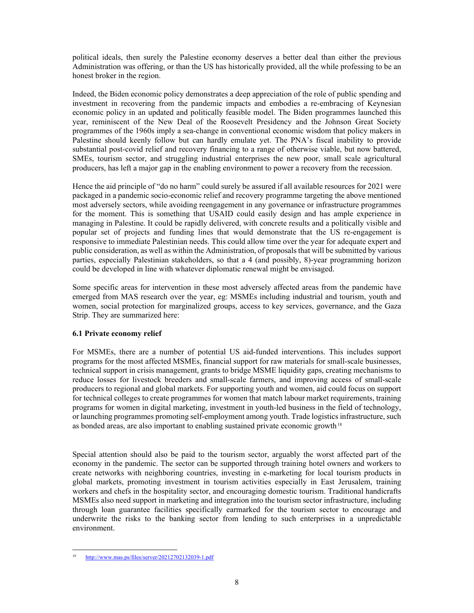political ideals, then surely the Palestine economy deserves a better deal than either the previous Administration was offering, or than the US has historically provided, all the while professing to be an honest broker in the region.

Indeed, the Biden economic policy demonstrates a deep appreciation of the role of public spending and investment in recovering from the pandemic impacts and embodies a re-embracing of Keynesian economic policy in an updated and politically feasible model. The Biden programmes launched this year, reminiscent of the New Deal of the Roosevelt Presidency and the Johnson Great Society programmes of the 1960s imply a sea-change in conventional economic wisdom that policy makers in Palestine should keenly follow but can hardly emulate yet. The PNA's fiscal inability to provide substantial post-covid relief and recovery financing to a range of otherwise viable, but now battered, SMEs, tourism sector, and struggling industrial enterprises the new poor, small scale agricultural producers, has left a major gap in the enabling environment to power a recovery from the recession.

Hence the aid principle of "do no harm" could surely be assured if all available resources for 2021 were packaged in a pandemic socio-economic relief and recovery programme targeting the above mentioned most adversely sectors, while avoiding reengagement in any governance or infrastructure programmes for the moment. This is something that USAID could easily design and has ample experience in managing in Palestine. It could be rapidly delivered, with concrete results and a politically visible and popular set of projects and funding lines that would demonstrate that the US re-engagement is responsive to immediate Palestinian needs. This could allow time over the year for adequate expert and public consideration, as well as within the Administration, of proposals that will be submitted by various parties, especially Palestinian stakeholders, so that a 4 (and possibly, 8)-year programming horizon could be developed in line with whatever diplomatic renewal might be envisaged.

Some specific areas for intervention in these most adversely affected areas from the pandemic have emerged from MAS research over the year, eg: MSMEs including industrial and tourism, youth and women, social protection for marginalized groups, access to key services, governance, and the Gaza Strip. They are summarized here:

## **6.1 Private economy relief**

For MSMEs, there are a number of potential US aid-funded interventions. This includes support programs for the most affected MSMEs, financial support for raw materials for small-scale businesses, technical support in crisis management, grants to bridge MSME liquidity gaps, creating mechanisms to reduce losses for livestock breeders and small-scale farmers, and improving access of small-scale producers to regional and global markets. For supporting youth and women, aid could focus on support for technical colleges to create programmes for women that match labour market requirements, training programs for women in digital marketing, investment in youth-led business in the field of technology, or launching programmes promoting self-employment among youth. Trade logistics infrastructure, such as bonded areas, are also important to enabling sustained private economic growth  $18$ 

Special attention should also be paid to the tourism sector, arguably the worst affected part of the economy in the pandemic. The sector can be supported through training hotel owners and workers to create networks with neighboring countries, investing in e-marketing for local tourism products in global markets, promoting investment in tourism activities especially in East Jerusalem, training workers and chefs in the hospitality sector, and encouraging domestic tourism. Traditional handicrafts MSMEs also need support in marketing and integration into the tourism sector infrastructure, including through loan guarantee facilities specifically earmarked for the tourism sector to encourage and underwrite the risks to the banking sector from lending to such enterprises in a unpredictable environment.

<sup>18</sup> http://www.mas.ps/files/server/20212702132039-1.pdf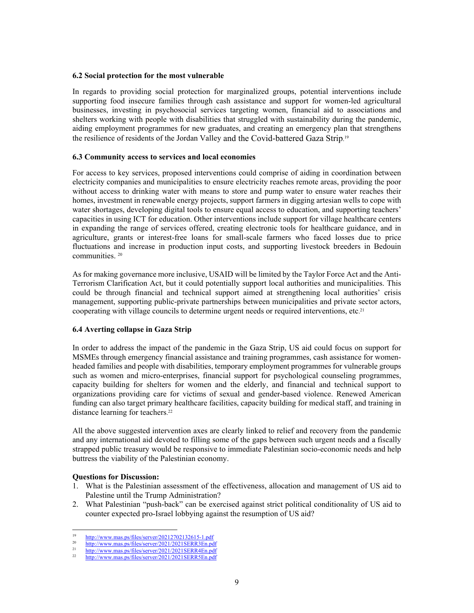#### **6.2 Social protection for the most vulnerable**

In regards to providing social protection for marginalized groups, potential interventions include supporting food insecure families through cash assistance and support for women-led agricultural businesses, investing in psychosocial services targeting women, financial aid to associations and shelters working with people with disabilities that struggled with sustainability during the pandemic, aiding employment programmes for new graduates, and creating an emergency plan that strengthens the resilience of residents of the Jordan Valley and the Covid-battered Gaza Strip.<sup>19</sup>

## **6.3 Community access to services and local economies**

For access to key services, proposed interventions could comprise of aiding in coordination between electricity companies and municipalities to ensure electricity reaches remote areas, providing the poor without access to drinking water with means to store and pump water to ensure water reaches their homes, investment in renewable energy projects, support farmers in digging artesian wells to cope with water shortages, developing digital tools to ensure equal access to education, and supporting teachers' capacities in using ICT for education. Other interventions include support for village healthcare centers in expanding the range of services offered, creating electronic tools for healthcare guidance, and in agriculture, grants or interest-free loans for small-scale farmers who faced losses due to price fluctuations and increase in production input costs, and supporting livestock breeders in Bedouin communities. 20

As for making governance more inclusive, USAID will be limited by the Taylor Force Act and the Anti-Terrorism Clarification Act, but it could potentially support local authorities and municipalities. This could be through financial and technical support aimed at strengthening local authorities' crisis management, supporting public-private partnerships between municipalities and private sector actors, cooperating with village councils to determine urgent needs or required interventions, etc. 21

## **6.4 Averting collapse in Gaza Strip**

In order to address the impact of the pandemic in the Gaza Strip, US aid could focus on support for MSMEs through emergency financial assistance and training programmes, cash assistance for womenheaded families and people with disabilities, temporary employment programmes for vulnerable groups such as women and micro-enterprises, financial support for psychological counseling programmes, capacity building for shelters for women and the elderly, and financial and technical support to organizations providing care for victims of sexual and gender-based violence. Renewed American funding can also target primary healthcare facilities, capacity building for medical staff, and training in distance learning for teachers. 22

All the above suggested intervention axes are clearly linked to relief and recovery from the pandemic and any international aid devoted to filling some of the gaps between such urgent needs and a fiscally strapped public treasury would be responsive to immediate Palestinian socio-economic needs and help buttress the viability of the Palestinian economy.

## **Questions for Discussion:**

- 1. What is the Palestinian assessment of the effectiveness, allocation and management of US aid to Palestine until the Trump Administration?
- 2. What Palestinian "push-back" can be exercised against strict political conditionality of US aid to counter expected pro-Israel lobbying against the resumption of US aid?

<sup>19</sup> http://www.mas.ps/files/server/20212702132615-1.pdf<br>
20 http://www.mas.ps/files/server/2021/2021SERR3En.pdf<br>
21 http://www.mas.ps/files/server/2021/2021SERR4En.pdf<br>
22 http://www.mas.ps/files/server/2021/2021SERR5En.pd